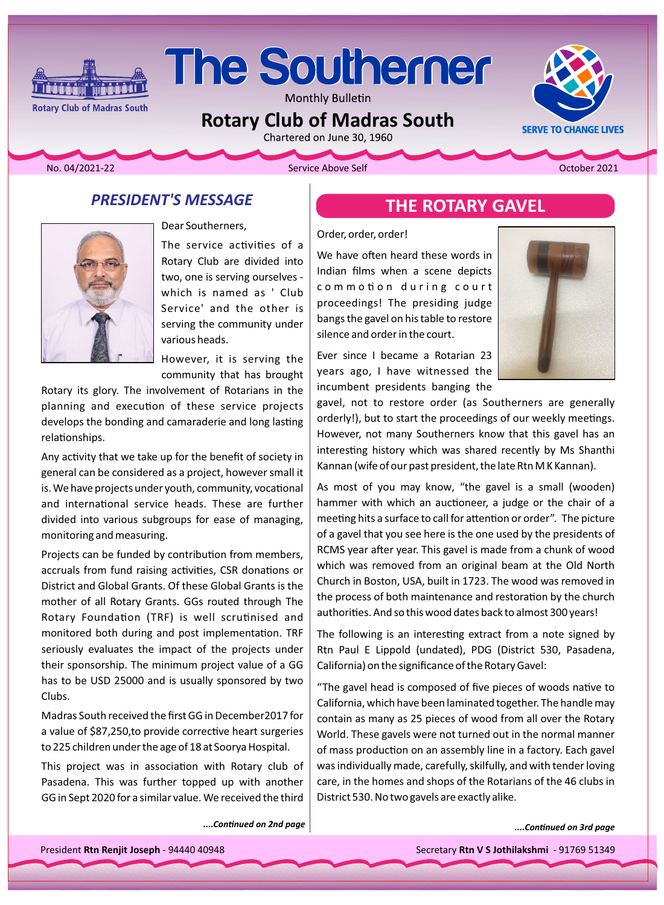# The Southerner

**Monthly Bulletin** 

## **Rotary Club of Madras South**<br>Chartered on June 30, 1960

**Rotary Club of Madras South** 

<u>ازاق ۋىلى ئالار ئالار ئا</u>

No. 04/2021-22 **The Community Community Community Community Community Community Community Community Community Community Community Community Community Community Community Community Community Community Community Community C** 

**SERVE TO CHANGE LIVES** 

## **PRESIDENT'S MESSAGE**



Dear Southerners,

The service activities of a Rotary Club are divided into two, one is serving ourselves which is named as ' Club Service' and the other is serving the community under various heads.

However, it is serving the community that has brought

Rotary its glory. The involvement of Rotarians in the planning and execution of these service projects develops the bonding and camaraderie and long lasting relationships.

Any activity that we take up for the benefit of society in general can be considered as a project, however small it is. We have projects under youth, community, vocational and international service heads. These are further divided into various subgroups for ease of managing, monitoring and measuring.

Projects can be funded by contribution from members, accruals from fund raising activities, CSR donations or District and Global Grants. Of these Global Grants is the mother of all Rotary Grants. GGs routed through The Rotary Foundation (TRF) is well scrutinised and monitored both during and post implementation. TRF seriously evaluates the impact of the projects under their sponsorship. The minimum project value of a GG has to be USD 25000 and is usually sponsored by two Clubs.

Madras South received the first GG in December 2017 for a value of \$87,250, to provide corrective heart surgeries to 225 children under the age of 18 at Soorya Hospital.

This project was in association with Rotary club of Pasadena. This was further topped up with another GG in Sept 2020 for a similar value. We received the third

*page Ϯnd on ConƟnƵed....*

## **THE ROTARY GAVEL**

#### Order, order, order!

We have often heard these words in Indian films when a scene depicts commotion during court proceedings! The presiding judge bangs the gavel on his table to restore silence and order in the court.

Ever since I became a Rotarian 23 years ago, I have witnessed the incumbent presidents banging the



gavel, not to restore order (as Southerners are generally orderly!), but to start the proceedings of our weekly meetings. However, not many Southerners know that this gavel has an interesting history which was shared recently by Ms Shanthi Kannan (wife of our past president, the late Rtn MK Kannan).

As most of you may know, "the gavel is a small (wooden) hammer with which an auctioneer, a judge or the chair of a meeting hits a surface to call for attention or order". The picture of a gavel that you see here is the one used by the presidents of RCMS year after year. This gavel is made from a chunk of wood which was removed from an original beam at the Old North Church in Boston, USA, built in 1723. The wood was removed in the process of both maintenance and restoration by the church authorities. And so this wood dates back to almost 300 years!

The following is an interesting extract from a note signed by Rtn Paul E Lippold (undated), PDG (District 530, Pasadena, California) on the significance of the Rotary Gavel:

"The gavel head is composed of five pieces of woods native to California, which have been laminated together. The handle may contain as many as 25 pieces of wood from all over the Rotary World. These gavels were not turned out in the normal manner of mass production on an assembly line in a factory. Each gavel was individually made, carefully, skilfully, and with tender loving care, in the homes and shops of the Rotarians of the 46 clubs in District 530. No two gavels are exactly alike.

*p.e.Continued on 3rd page* 

President Rtn Renjit Joseph - 94440 40948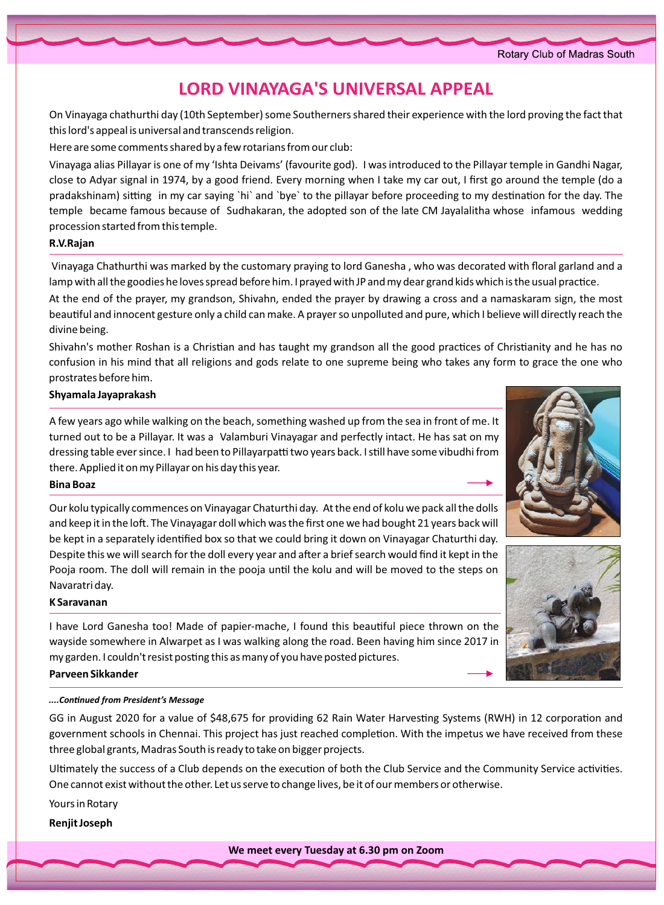## **LORD VINAYAGA'S UNIVERSAL APPEAL**

On Vinayaga chathurthi day (10th September) some Southerners shared their experience with the lord proving the fact that this lord's appeal is universal and transcends religion.

Here are some comments shared by a few rotarians from our club:

Vinayaga alias Pillayar is one of my 'Ishta Deivams' (favourite god). I was introduced to the Pillayar temple in Gandhi Nagar, close to Adyar signal in 1974, by a good friend. Every morning when I take my car out, I first go around the temple (do a pradakshinam) sitting in my car saying `hi` and `bye` to the pillayar before proceeding to my destination for the day. The temple became famous because of Sudhakaran, the adopted son of the late CM Jayalalitha whose infamous wedding procession started from this temple.

#### **R.V.Rajan**

Vinayaga Chathurthi was marked by the customary praying to lord Ganesha, who was decorated with floral garland and a lamp with all the goodies he loves spread before him. I prayed with JP and my dear grand kids which is the usual practice.

At the end of the prayer, my grandson, Shivahn, ended the prayer by drawing a cross and a namaskaram sign, the most beautiful and innocent gesture only a child can make. A prayer so unpolluted and pure, which I believe will directly reach the divine being.

Shivahn's mother Roshan is a Christian and has taught my grandson all the good practices of Christianity and he has no confusion in his mind that all religions and gods relate to one supreme being who takes any form to grace the one who prostrates before him.

#### **Jayaprakash Shyamala**

A few years ago while walking on the beach, something washed up from the sea in front of me. It turned out to be a Pillayar. It was a Valamburi Vinayagar and perfectly intact. He has sat on my dressing table ever since. I had been to Pillayarpatti two years back. I still have some vibudhi from there. Applied it on my Pillayar on his day this year.

#### **Bina** Boaz

Our kolu typically commences on Vinayagar Chaturthi day. At the end of kolu we pack all the dolls and keep it in the loft. The Vinayagar doll which was the first one we had bought 21 years back will be kept in a separately identified box so that we could bring it down on Vinayagar Chaturthi day. Despite this we will search for the doll every year and after a brief search would find it kept in the Pooja room. The doll will remain in the pooja until the kolu and will be moved to the steps on Navaratri day.

#### **Saravanan K**

I have Lord Ganesha too! Made of papier-mache, I found this beautiful piece thrown on the wayside somewhere in Alwarpet as I was walking along the road. Been having him since 2017 in my garden. I couldn't resist posting this as many of you have posted pictures.

#### **Sikkander Parveen**

#### *Message strain in President's Message*

GG in August 2020 for a value of \$48,675 for providing 62 Rain Water Harvesting Systems (RWH) in 12 corporation and government schools in Chennai. This project has just reached completion. With the impetus we have received from these three global grants, Madras South is ready to take on bigger projects.

Ultimately the success of a Club depends on the execution of both the Club Service and the Community Service activities. One cannot exist without the other. Let us serve to change lives, be it of our members or otherwise.

Yours in Rotary

**Renjit Joseph** 



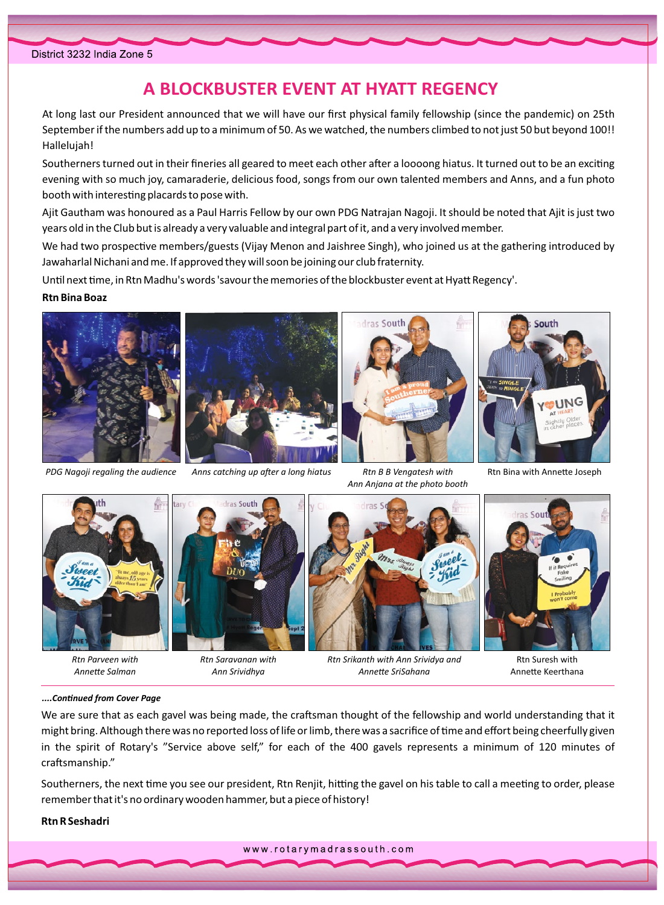## A BLOCKBUSTER EVENT AT HYATT REGENCY

At long last our President announced that we will have our first physical family fellowship (since the pandemic) on 25th September if the numbers add up to a minimum of 50. As we watched, the numbers climbed to not just 50 but beyond 100!! Hallelujah!

Southerners turned out in their fineries all geared to meet each other after a loooong hiatus. It turned out to be an exciting evening with so much joy, camaraderie, delicious food, songs from our own talented members and Anns, and a fun photo booth with interesting placards to pose with.

Ajit Gautham was honoured as a Paul Harris Fellow by our own PDG Natrajan Nagoji. It should be noted that Ajit is just two years old in the Club but is already a very valuable and integral part of it, and a very involved member.

We had two prospective members/guests (Vijay Menon and Jaishree Singh), who joined us at the gathering introduced by Jawaharlal Nichani and me. If approved they will soon be joining our club fraternity.

Until next time, in Rtn Madhu's words 'savour the memories of the blockbuster event at Hyatt Regency'.

#### **Rtn Bina Boaz**



PDG Nagoji regaling the audience



Anns catching up after a long hiatus



Rtn B B Vengatesh with Ann Anjana at the photo booth



Rtn Bina with Annette Joseph



Rtn Parveen with Annette Salman



Rtn Saravanan with Ann Srividhya



Rtn Srikanth with Ann Srividya and Annette SriSahana



Rtn Suresh with Annette Keerthana

#### ....Continued from Cover Page

We are sure that as each gavel was being made, the craftsman thought of the fellowship and world understanding that it might bring. Although there was no reported loss of life or limb, there was a sacrifice of time and effort being cheerfully given in the spirit of Rotary's "Service above self," for each of the 400 gavels represents a minimum of 120 minutes of craftsmanship."

Southerners, the next time you see our president, Rtn Renjit, hitting the gavel on his table to call a meeting to order, please remember that it's no ordinary wooden hammer, but a piece of history!

**Rtn R Seshadri** 

www.rotarymadrassouth.com